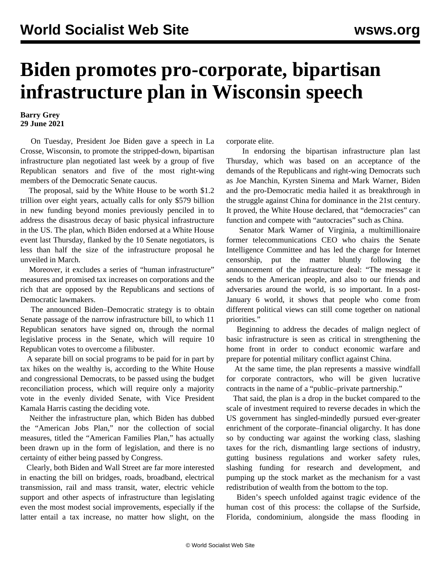## **Biden promotes pro-corporate, bipartisan infrastructure plan in Wisconsin speech**

## **Barry Grey 29 June 2021**

 On Tuesday, President Joe Biden gave a speech in La Crosse, Wisconsin, to promote the stripped-down, bipartisan infrastructure plan negotiated last week by a group of five Republican senators and five of the most right-wing members of the Democratic Senate caucus.

 The proposal, said by the White House to be worth \$1.2 trillion over eight years, actually calls for only \$579 billion in new funding beyond monies previously penciled in to address the disastrous decay of basic physical infrastructure in the US. The plan, which Biden endorsed at a White House event last Thursday, flanked by the 10 Senate negotiators, is less than half the size of the infrastructure proposal he unveiled in March.

 Moreover, it excludes a series of "human infrastructure" measures and promised tax increases on corporations and the rich that are opposed by the Republicans and sections of Democratic lawmakers.

 The announced Biden–Democratic strategy is to obtain Senate passage of the narrow infrastructure bill, to which 11 Republican senators have signed on, through the normal legislative process in the Senate, which will require 10 Republican votes to overcome a filibuster.

 A separate bill on social programs to be paid for in part by tax hikes on the wealthy is, according to the White House and congressional Democrats, to be passed using the budget reconciliation process, which will require only a majority vote in the evenly divided Senate, with Vice President Kamala Harris casting the deciding vote.

 Neither the infrastructure plan, which Biden has dubbed the "American Jobs Plan," nor the collection of social measures, titled the "American Families Plan," has actually been drawn up in the form of legislation, and there is no certainty of either being passed by Congress.

 Clearly, both Biden and Wall Street are far more interested in enacting the bill on bridges, roads, broadband, electrical transmission, rail and mass transit, water, electric vehicle support and other aspects of infrastructure than legislating even the most modest social improvements, especially if the latter entail a tax increase, no matter how slight, on the corporate elite.

 In endorsing the bipartisan infrastructure plan last Thursday, which was based on an acceptance of the demands of the Republicans and right-wing Democrats such as Joe Manchin, Kyrsten Sinema and Mark Warner, Biden and the pro-Democratic media hailed it as breakthrough in the struggle against China for dominance in the 21st century. It proved, the White House declared, that "democracies" can function and compete with "autocracies" such as China.

 Senator Mark Warner of Virginia, a multimillionaire former telecommunications CEO who chairs the Senate Intelligence Committee and has led the charge for Internet censorship, put the matter bluntly following the announcement of the infrastructure deal: "The message it sends to the American people, and also to our friends and adversaries around the world, is so important. In a post-January 6 world, it shows that people who come from different political views can still come together on national priorities."

 Beginning to address the decades of malign neglect of basic infrastructure is seen as critical in strengthening the home front in order to conduct economic warfare and prepare for potential military conflict against China.

 At the same time, the plan represents a massive windfall for corporate contractors, who will be given lucrative contracts in the name of a "public–private partnership."

 That said, the plan is a drop in the bucket compared to the scale of investment required to reverse decades in which the US government has singled-mindedly pursued ever-greater enrichment of the corporate–financial oligarchy. It has done so by conducting war against the working class, slashing taxes for the rich, dismantling large sections of industry, gutting business regulations and worker safety rules, slashing funding for research and development, and pumping up the stock market as the mechanism for a vast redistribution of wealth from the bottom to the top.

 Biden's speech unfolded against tragic evidence of the human cost of this process: the collapse of the Surfside, Florida, condominium, alongside the mass flooding in